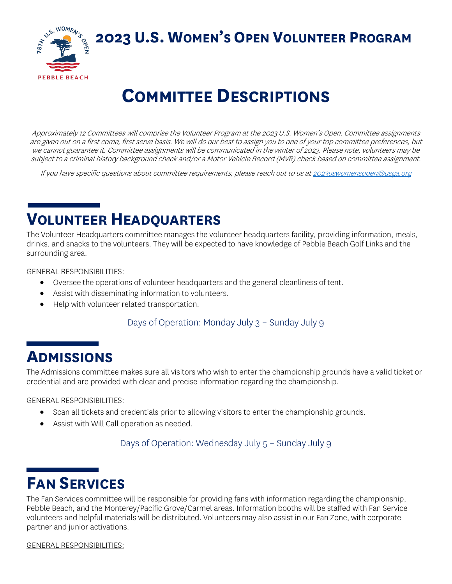**2023 U.S. WOMEN'S OPEN VOLUNTEER PROGRAM**



# **COMMITTEE DESCRIPTIONS**

Approximately 12 Committees will comprise the Volunteer Program at the 2023 U.S. Women's Open. Committee assignments are given out on a first come, first serve basis. We will do our best to assign you to one of your top committee preferences, but we cannot guarantee it. Committee assignments will be communicated in the winter of 2023. Please note, volunteers may be subject to a criminal history background check and/or a Motor Vehicle Record (MVR) check based on committee assignment.

If you have specific questions about committee requirements, please reach out to us a[t 2023uswomensopen@usga.org](mailto:2023uswomensopen@usga.org)

### **VOLUNTEER HEADQUARTERS**

The Volunteer Headquarters committee manages the volunteer headquarters facility, providing information, meals, drinks, and snacks to the volunteers. They will be expected to have knowledge of Pebble Beach Golf Links and the surrounding area.

GENERAL RESPONSIBILITIES:

- Oversee the operations of volunteer headquarters and the general cleanliness of tent.
- Assist with disseminating information to volunteers.
- Help with volunteer related transportation.

#### Days of Operation: Monday July 3 – Sunday July 9

### **ADMISSIONS**

The Admissions committee makes sure all visitors who wish to enter the championship grounds have a valid ticket or credential and are provided with clear and precise information regarding the championship.

GENERAL RESPONSIBILITIES:

- Scan all tickets and credentials prior to allowing visitors to enter the championship grounds.
- Assist with Will Call operation as needed.

Days of Operation: Wednesday July 5 – Sunday July 9

## **FAN SERVICES**

The Fan Services committee will be responsible for providing fans with information regarding the championship, Pebble Beach, and the Monterey/Pacific Grove/Carmel areas. Information booths will be staffed with Fan Service volunteers and helpful materials will be distributed. Volunteers may also assist in our Fan Zone, with corporate partner and junior activations.

GENERAL RESPONSIBILITIES: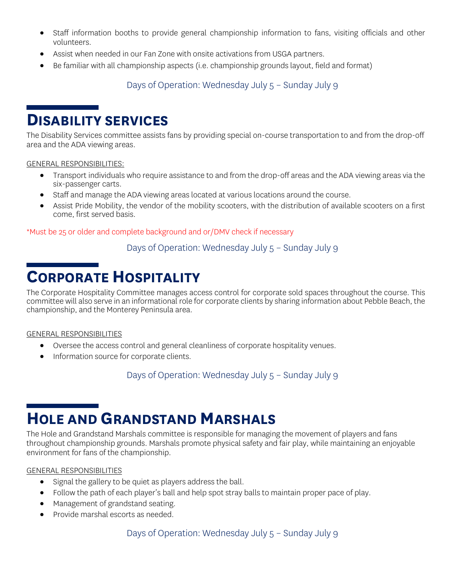- Staff information booths to provide general championship information to fans, visiting officials and other volunteers.
- Assist when needed in our Fan Zone with onsite activations from USGA partners.
- Be familiar with all championship aspects (i.e. championship grounds layout, field and format)

#### Days of Operation: Wednesday July 5 – Sunday July 9

### **DISABILITY SERVICES**

The Disability Services committee assists fans by providing special on-course transportation to and from the drop-off area and the ADA viewing areas.

GENERAL RESPONSIBILITIES:

- Transport individuals who require assistance to and from the drop-off areas and the ADA viewing areas via the six-passenger carts.
- Staff and manage the ADA viewing areas located at various locations around the course.
- Assist Pride Mobility, the vendor of the mobility scooters, with the distribution of available scooters on a first come, first served basis.

\*Must be 25 or older and complete background and or/DMV check if necessary

Days of Operation: Wednesday July 5 – Sunday July 9

### **CORPORATE HOSPITALITY**

The Corporate Hospitality Committee manages access control for corporate sold spaces throughout the course. This committee will also serve in an informational role for corporate clients by sharing information about Pebble Beach, the championship, and the Monterey Peninsula area.

#### GENERAL RESPONSIBILITIES

- Oversee the access control and general cleanliness of corporate hospitality venues.
- Information source for corporate clients.

Days of Operation: Wednesday July 5 – Sunday July 9

## **HOLE AND GRANDSTAND MARSHALS**

The Hole and Grandstand Marshals committee is responsible for managing the movement of players and fans throughout championship grounds. Marshals promote physical safety and fair play, while maintaining an enjoyable environment for fans of the championship.

#### GENERAL RESPONSIBILITIES

- Signal the gallery to be quiet as players address the ball.
- Follow the path of each player's ball and help spot stray balls to maintain proper pace of play.
- Management of grandstand seating.
- Provide marshal escorts as needed.

#### Days of Operation: Wednesday July 5 – Sunday July 9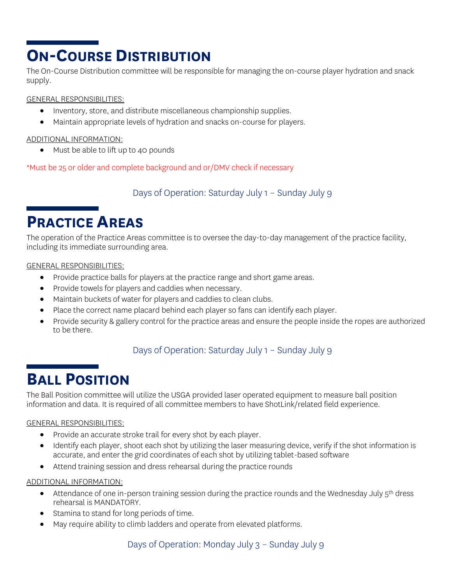## **ON-COURSE DISTRIBUTION**

The On-Course Distribution committee will be responsible for managing the on-course player hydration and snack supply.

GENERAL RESPONSIBILITIES:

- Inventory, store, and distribute miscellaneous championship supplies.
- Maintain appropriate levels of hydration and snacks on-course for players.

#### ADDITIONAL INFORMATION:

• Must be able to lift up to 40 pounds

\*Must be 25 or older and complete background and or/DMV check if necessary

Days of Operation: Saturday July 1 – Sunday July 9

### **PRACTICE AREAS**

The operation of the Practice Areas committee is to oversee the day-to-day management of the practice facility, including its immediate surrounding area.

#### GENERAL RESPONSIBILITIES:

- Provide practice balls for players at the practice range and short game areas.
- Provide towels for players and caddies when necessary.
- Maintain buckets of water for players and caddies to clean clubs.
- Place the correct name placard behind each player so fans can identify each player.
- Provide security & gallery control for the practice areas and ensure the people inside the ropes are authorized to be there.

### Days of Operation: Saturday July 1 – Sunday July 9

## **BALL POSITION**

The Ball Position committee will utilize the USGA provided laser operated equipment to measure ball position information and data. It is required of all committee members to have ShotLink/related field experience.

#### GENERAL RESPONSIBILITIES:

- Provide an accurate stroke trail for every shot by each player.
- Identify each player, shoot each shot by utilizing the laser measuring device, verify if the shot information is accurate, and enter the grid coordinates of each shot by utilizing tablet-based software
- Attend training session and dress rehearsal during the practice rounds

#### ADDITIONAL INFORMATION:

- Attendance of one in-person training session during the practice rounds and the Wednesday July  $5<sup>th</sup>$  dress rehearsal is MANDATORY.
- Stamina to stand for long periods of time.
- May require ability to climb ladders and operate from elevated platforms.